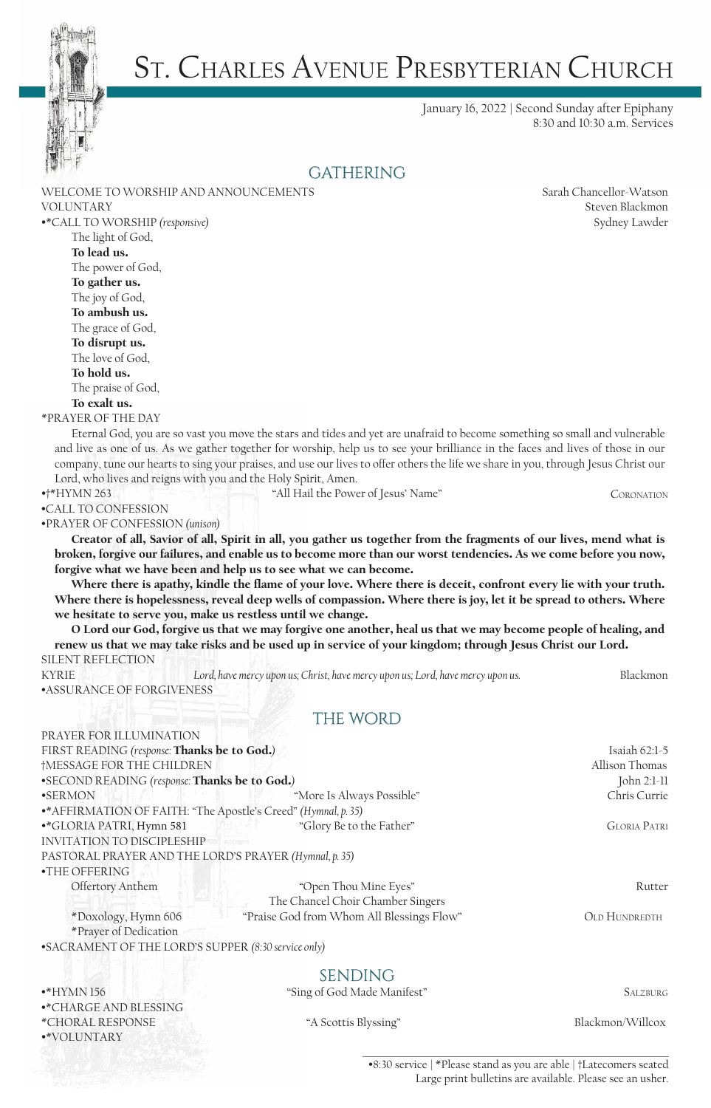

# ST. CHARLES AVENUE PRESBYTERIAN CHURCH

January 16, 2022 | Second Sunday after Epiphany 8:30 and 10:30 a.m. Services

#### **GATHERING**

|                                                                                                                                     | WELCOME TO WORSHIP AND ANNOUNCEMENTS                                                                                       | Sarah Chancellor-Watson |
|-------------------------------------------------------------------------------------------------------------------------------------|----------------------------------------------------------------------------------------------------------------------------|-------------------------|
| <b>VOLUNTARY</b>                                                                                                                    |                                                                                                                            | Steven Blackmon         |
| •*CALL TO WORSHIP (responsive)                                                                                                      |                                                                                                                            | Sydney Lawder           |
| The light of God,                                                                                                                   |                                                                                                                            |                         |
| To lead us.                                                                                                                         |                                                                                                                            |                         |
| The power of God,                                                                                                                   |                                                                                                                            |                         |
| To gather us.                                                                                                                       |                                                                                                                            |                         |
| The joy of God,                                                                                                                     |                                                                                                                            |                         |
| To ambush us.                                                                                                                       |                                                                                                                            |                         |
| The grace of God,                                                                                                                   |                                                                                                                            |                         |
| To disrupt us.                                                                                                                      |                                                                                                                            |                         |
| The love of God,                                                                                                                    |                                                                                                                            |                         |
| To hold us.                                                                                                                         |                                                                                                                            |                         |
| The praise of God,                                                                                                                  |                                                                                                                            |                         |
| To exalt us.                                                                                                                        |                                                                                                                            |                         |
| *PRAYER OF THE DAY                                                                                                                  |                                                                                                                            |                         |
|                                                                                                                                     | Eternal God, you are so vast you move the stars and tides and yet are unafraid to become something so small and vulnerable |                         |
| and live as one of us. As we gather together for worship, help us to see your brilliance in the faces and lives of those in our     |                                                                                                                            |                         |
| company, tune our hearts to sing your praises, and use our lives to offer others the life we share in you, through Jesus Christ our |                                                                                                                            |                         |
| Lord, who lives and reigns with you and the Holy Spirit, Amen.<br>$*$ <sup>*</sup> HYMN 263                                         | "All Hail the Power of Jesus' Name"                                                                                        | <b>CORONATION</b>       |
| •CALL TO CONFESSION                                                                                                                 |                                                                                                                            |                         |
| •PRAYER OF CONFESSION (unison)                                                                                                      |                                                                                                                            |                         |
|                                                                                                                                     | Creator of all, Savior of all, Spirit in all, you gather us together from the fragments of our lives, mend what is         |                         |
| broken, forgive our failures, and enable us to become more than our worst tendencies. As we come before you now,                    |                                                                                                                            |                         |
| forgive what we have been and help us to see what we can become.                                                                    |                                                                                                                            |                         |
|                                                                                                                                     | Where there is apathy, kindle the flame of your love. Where there is deceit, confront every lie with your truth.           |                         |
|                                                                                                                                     |                                                                                                                            |                         |
|                                                                                                                                     |                                                                                                                            |                         |
|                                                                                                                                     | Where there is hopelessness, reveal deep wells of compassion. Where there is joy, let it be spread to others. Where        |                         |
| we hesitate to serve you, make us restless until we change.                                                                         |                                                                                                                            |                         |
| renew us that we may take risks and be used up in service of your kingdom; through Jesus Christ our Lord.                           | O Lord our God, forgive us that we may forgive one another, heal us that we may become people of healing, and              |                         |
| SILENT REFLECTION                                                                                                                   |                                                                                                                            |                         |
| <b>KYRIE</b>                                                                                                                        | Lord, have mercy upon us; Christ, have mercy upon us; Lord, have mercy upon us.                                            | Blackmon                |
| <b>•ASSURANCE OF FORGIVENESS</b>                                                                                                    |                                                                                                                            |                         |
|                                                                                                                                     |                                                                                                                            |                         |
|                                                                                                                                     | <b>THE WORD</b>                                                                                                            |                         |
| PRAYER FOR ILLUMINATION                                                                                                             |                                                                                                                            |                         |
| FIRST READING (response: Thanks be to God.)                                                                                         |                                                                                                                            | Isaiah 62:1-5           |
| †MESSAGE FOR THE CHILDREN                                                                                                           |                                                                                                                            | Allison Thomas          |
| •SECOND READING (response: Thanks be to God.)                                                                                       |                                                                                                                            | John 2:1-11             |
| ·SERMON                                                                                                                             | "More Is Always Possible"                                                                                                  | Chris Currie            |
| •* AFFIRMATION OF FAITH: "The Apostle's Creed" (Hymnal, p. 35)                                                                      |                                                                                                                            |                         |
| ·* GLORIA PATRI, Hymn 581                                                                                                           | "Glory Be to the Father"                                                                                                   | <b>GLORIA PATRI</b>     |
| <b>INVITATION TO DISCIPLESHIP</b>                                                                                                   |                                                                                                                            |                         |
| PASTORAL PRAYER AND THE LORD'S PRAYER (Hymnal, p. 35)                                                                               |                                                                                                                            |                         |
| •THE OFFERING                                                                                                                       |                                                                                                                            |                         |
| Offertory Anthem                                                                                                                    | "Open Thou Mine Eyes"                                                                                                      | Rutter                  |
|                                                                                                                                     | The Chancel Choir Chamber Singers                                                                                          |                         |
| *Doxology, Hymn 606                                                                                                                 | "Praise God from Whom All Blessings Flow"                                                                                  | OLD HUNDREDTH           |
| *Prayer of Dedication                                                                                                               |                                                                                                                            |                         |
| •SACRAMENT OF THE LORD'S SUPPER (8:30 service only)                                                                                 |                                                                                                                            |                         |
|                                                                                                                                     | <b>SENDING</b>                                                                                                             |                         |

•\*CHARGE AND BLESSING \*CHORAL RESPONSE "A Scottis Blyssing" Blackmon/Willcox •\*VOLUNTARY